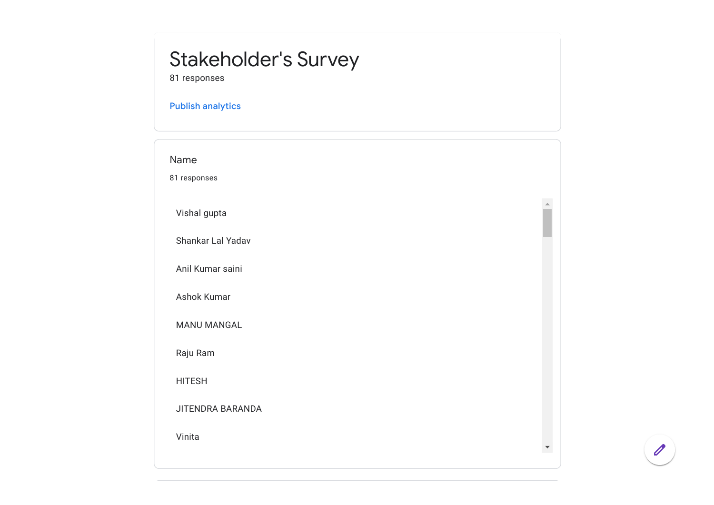## Stakeholder's Survey

81 responses

## Publish [analytics](https://docs.google.com/forms/d/1KcyPPmn_qQSVgE3ZDhiObyGVXt-bd5lbtKByVV8sDGg/edit?usp=redirect_edit_m2#start=publishanalytics)

| Name                    |  |
|-------------------------|--|
| 81 responses            |  |
|                         |  |
| Vishal gupta            |  |
| Shankar Lal Yadav       |  |
| Anil Kumar saini        |  |
| Ashok Kumar             |  |
| <b>MANU MANGAL</b>      |  |
| Raju Ram                |  |
| <b>HITESH</b>           |  |
| <b>JITENDRA BARANDA</b> |  |
| Vinita                  |  |

 $\overline{\mathscr{O}}$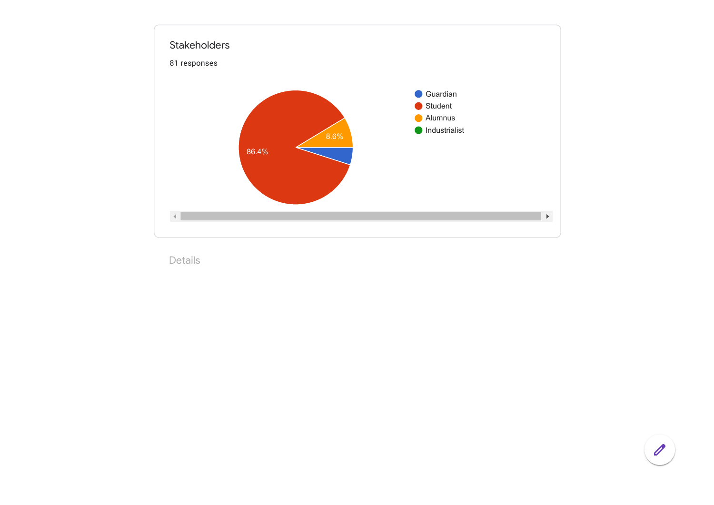

Details

 $\boxed{\theta}$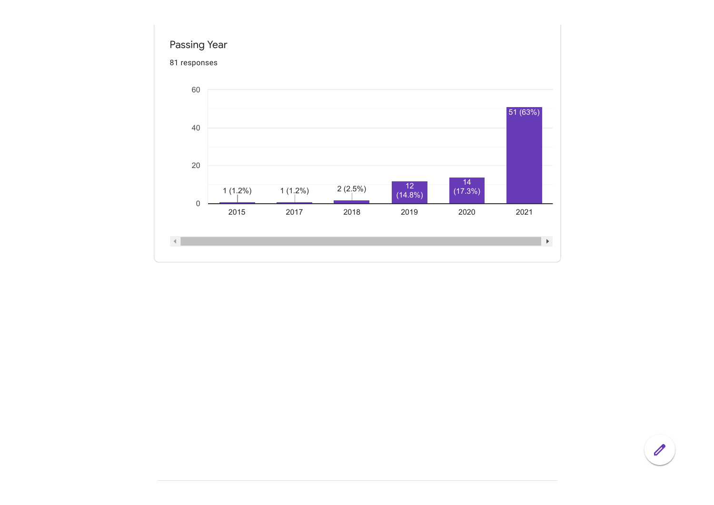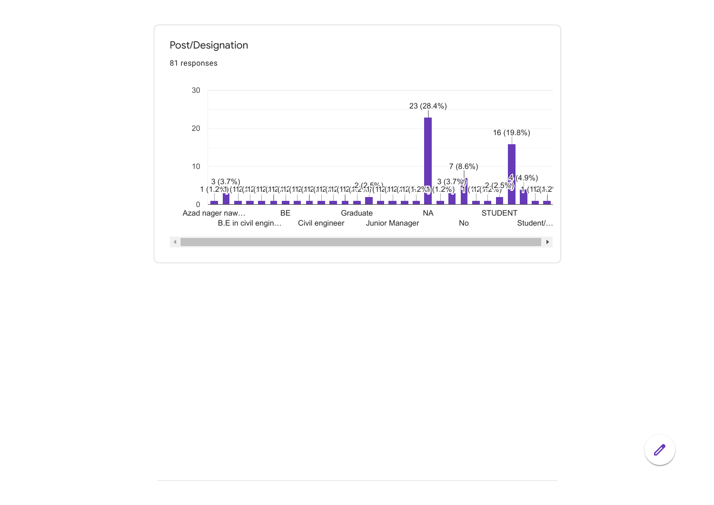

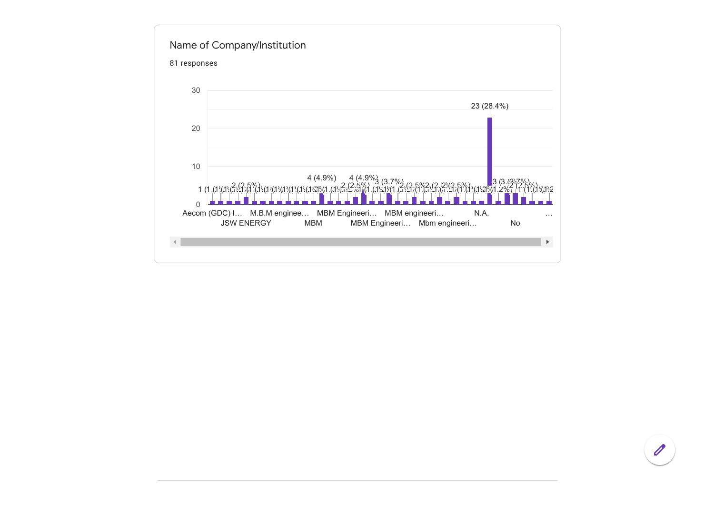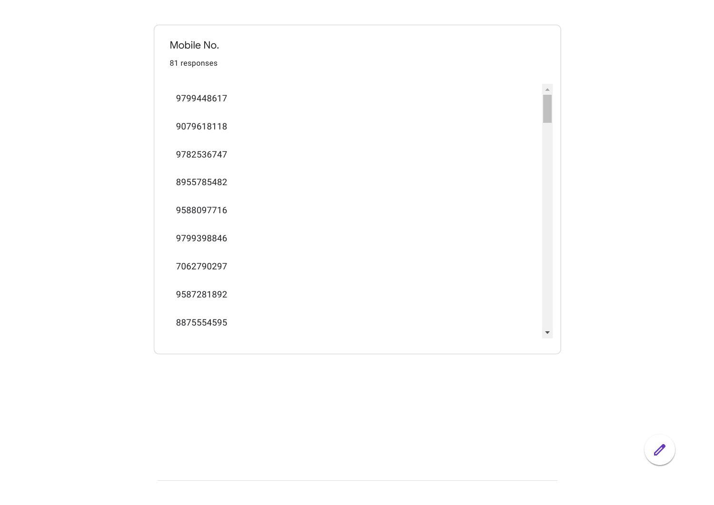

 $\mathscr{O}$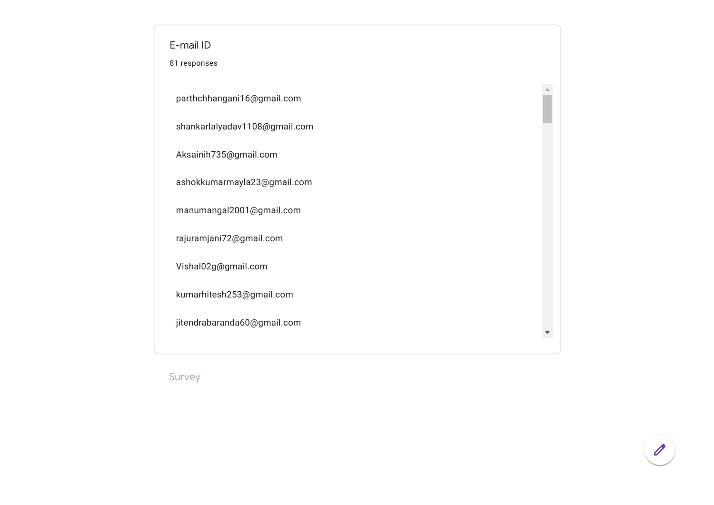| E-mail ID<br>81 responses                               |  |  |  |
|---------------------------------------------------------|--|--|--|
| parthchhangani16@gmail.com                              |  |  |  |
| shankarlalyadav1108@gmail.com<br>Aksainih735@gmail.com  |  |  |  |
| ashokkumarmayla23@gmail.com<br>manumangal2001@gmail.com |  |  |  |
| rajuramjani72@gmail.com                                 |  |  |  |
| Vishal02g@gmail.com<br>kumarhitesh253@gmail.com         |  |  |  |
| jitendrabaranda60@gmail.com                             |  |  |  |

Survey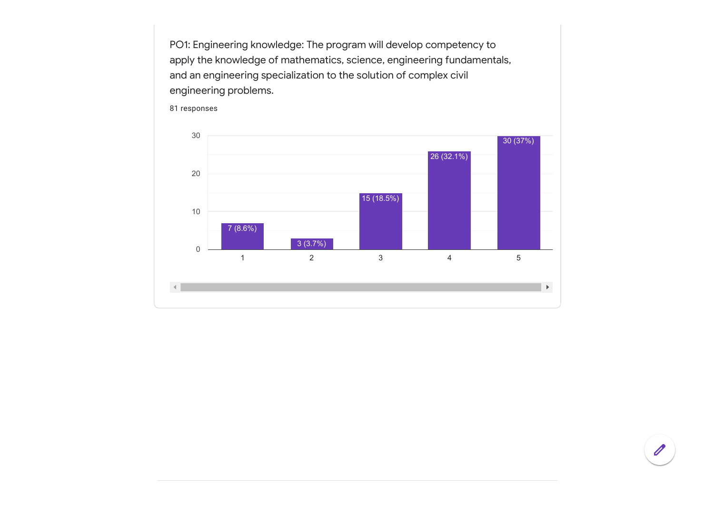PO1: Engineering knowledge: The program will develop competency to apply the knowledge of mathematics, science, engineering fundamentals, and an engineering specialization to the solution of complex civil engineering problems.

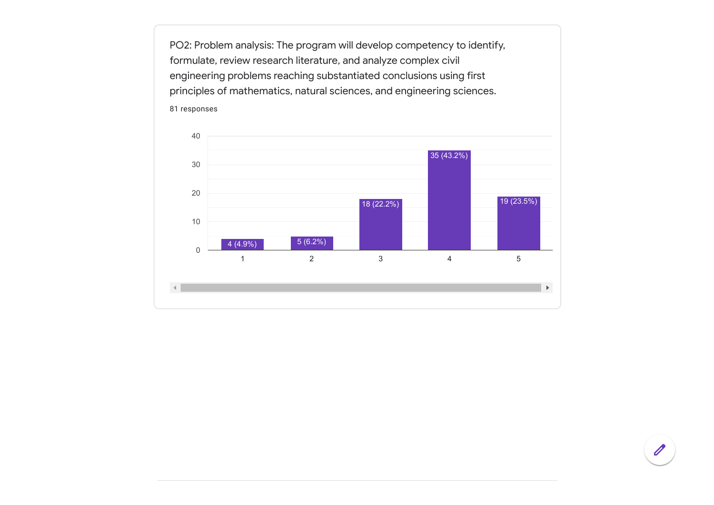PO2: Problem analysis: The program will develop competency to identify, formulate, review research literature, and analyze complex civil engineering problems reaching substantiated conclusions using first principles of mathematics, natural sciences, and engineering sciences. 81 responses

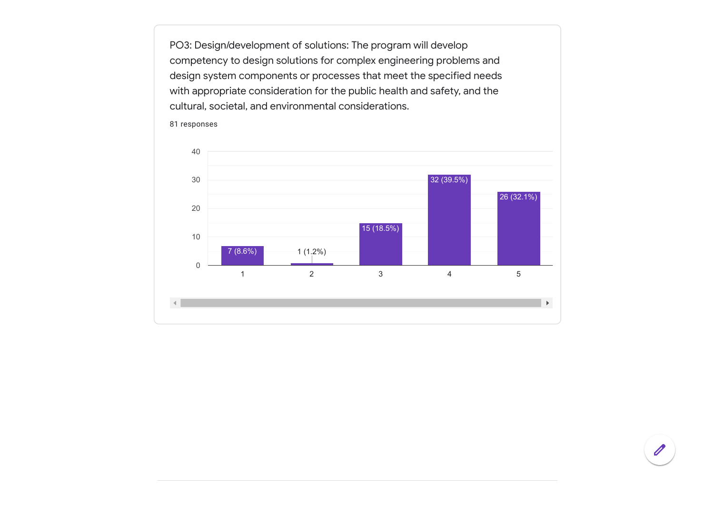PO3: Design/development of solutions: The program will develop competency to design solutions for complex engineering problems and design system components or processes that meet the specified needs with appropriate consideration for the public health and safety, and the cultural, societal, and environmental considerations.

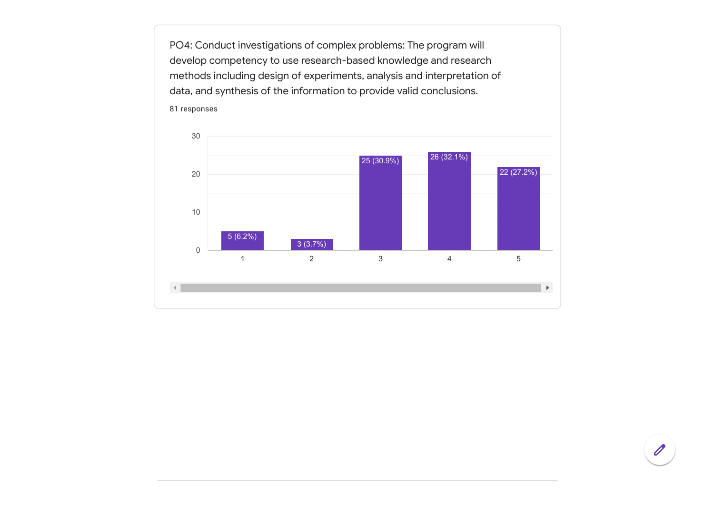PO4: Conduct investigations of complex problems: The program will develop competency to use research-based knowledge and research methods including design of experiments, analysis and interpretation of data, and synthesis of the information to provide valid conclusions. 81 responses

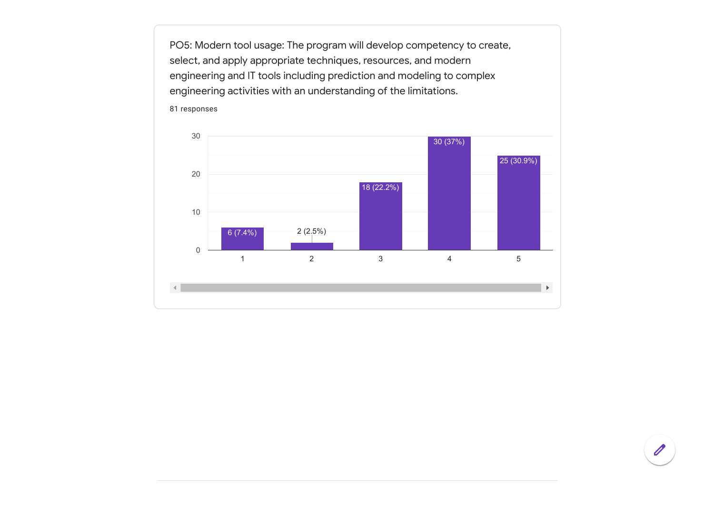PO5: Modern tool usage: The program will develop competency to create, select, and apply appropriate techniques, resources, and modern engineering and IT tools including prediction and modeling to complex engineering activities with an understanding of the limitations.

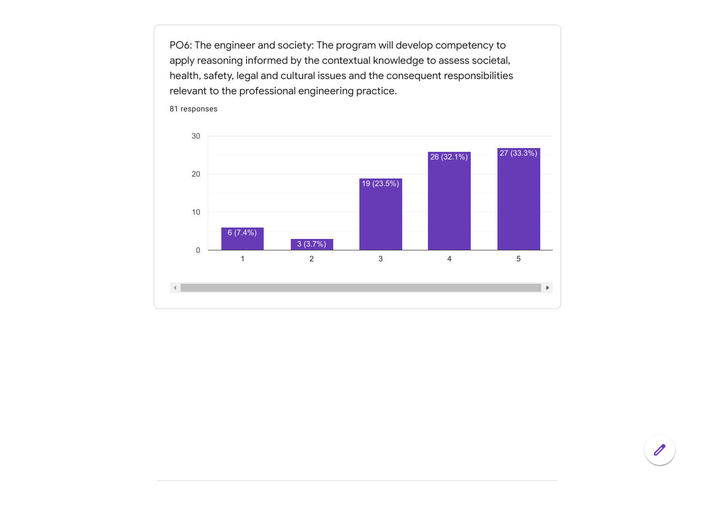PO6: The engineer and society: The program will develop competency to apply reasoning informed by the contextual knowledge to assess societal, health, safety, legal and cultural issues and the consequent responsibilities relevant to the professional engineering practice.

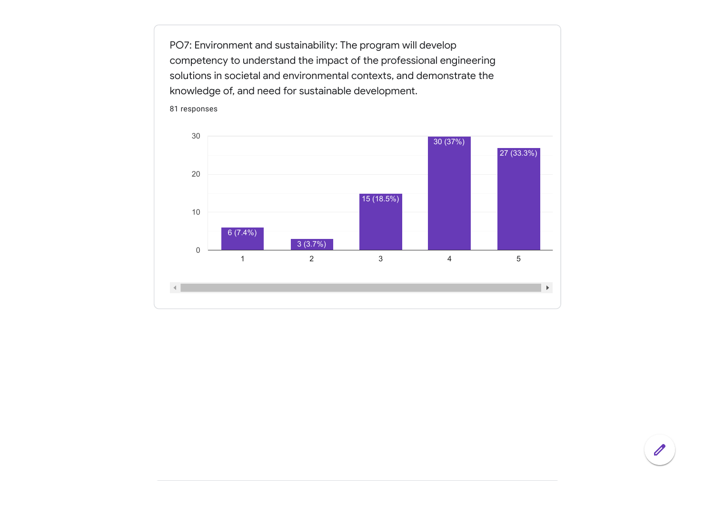PO7: Environment and sustainability: The program will develop competency to understand the impact of the professional engineering solutions in societal and environmental contexts, and demonstrate the knowledge of, and need for sustainable development.

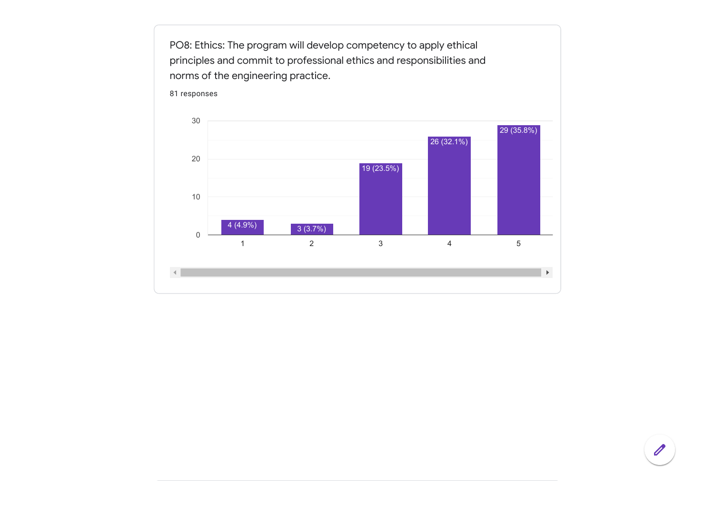PO8: Ethics: The program will develop competency to apply ethical principles and commit to professional ethics and responsibilities and norms of the engineering practice.

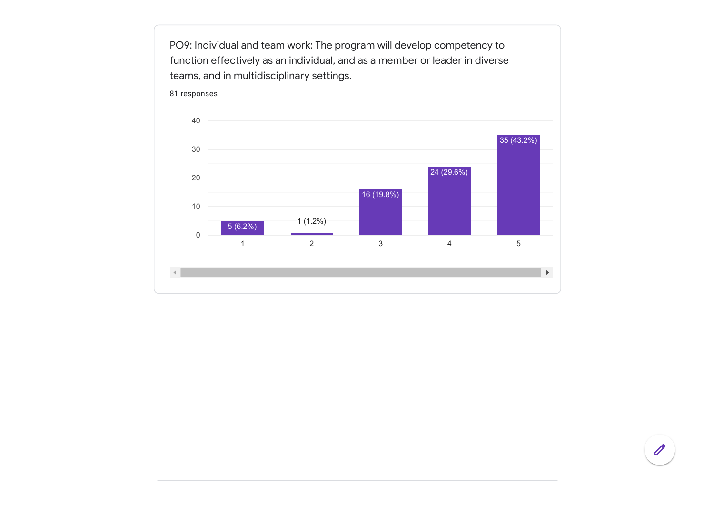function effectively as an individual, and as a member or leader in diverse teams, and in multidisciplinary settings. 81 responses 40 35 (43.2%)30 24 (29.6%) 20 16 (19.8%) 10  $5 (6.2\%)$  1 (1.2%) 0 1 2 3 4 5  $\left| \cdot \right|$  $\mathbb{R}^{\mathbb{Z}}$ 

PO9: Individual and team work: The program will develop competency to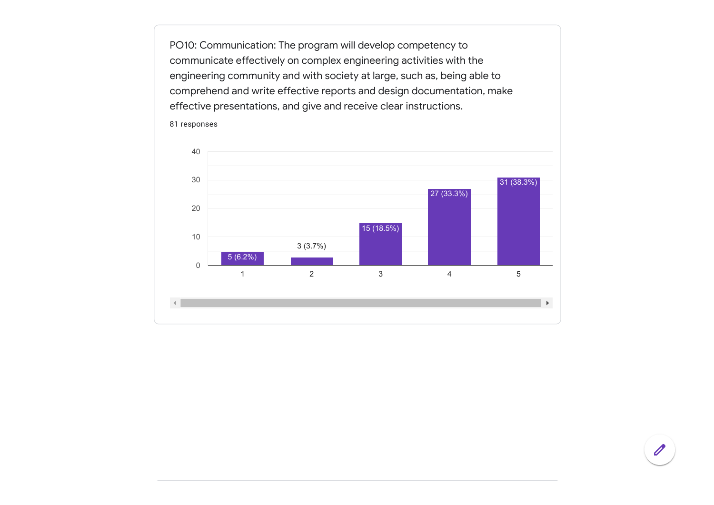PO10: Communication: The program will develop competency to communicate effectively on complex engineering activities with the engineering community and with society at large, such as, being able to comprehend and write effective reports and design documentation, make effective presentations, and give and receive clear instructions.

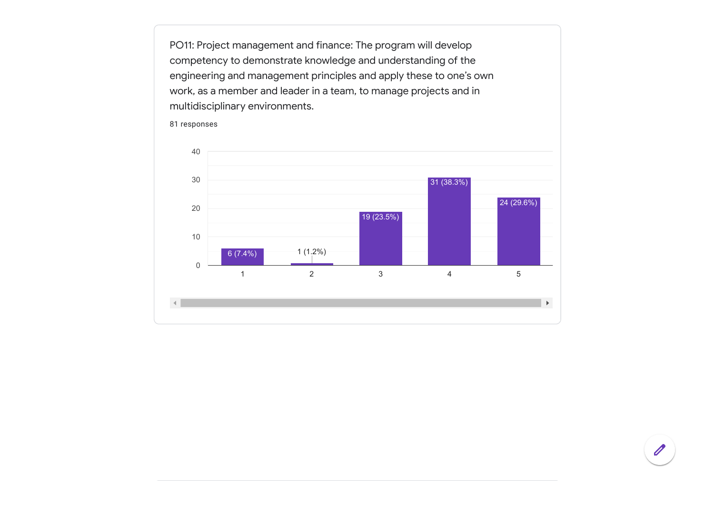PO11: Project management and finance: The program will develop competency to demonstrate knowledge and understanding of the engineering and management principles and apply these to one's own work, as a member and leader in a team, to manage projects and in multidisciplinary environments.

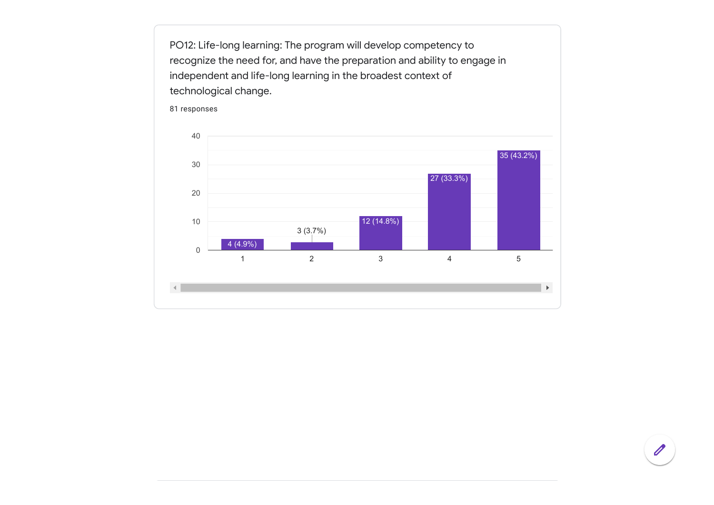PO12: Life-long learning: The program will develop competency to recognize the need for, and have the preparation and ability to engage in independent and life-long learning in the broadest context of technological change.

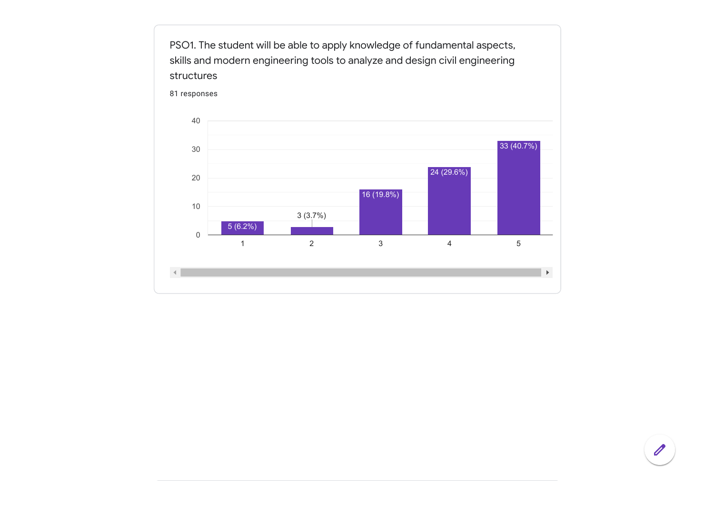

PSO1. The student will be able to apply knowledge of fundamental aspects,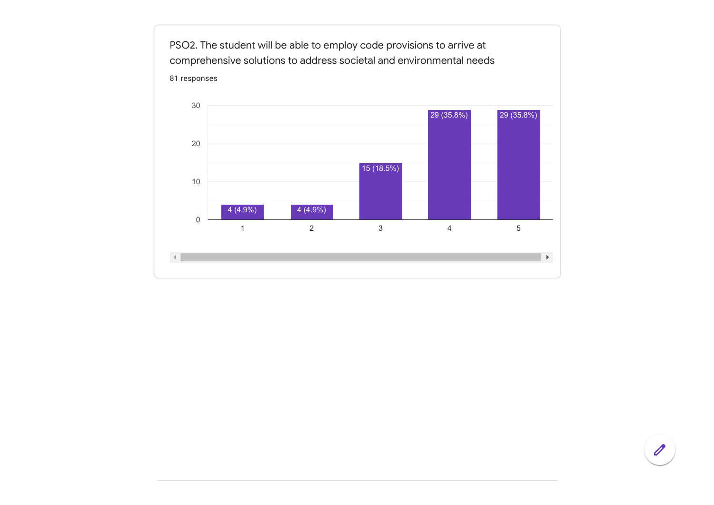

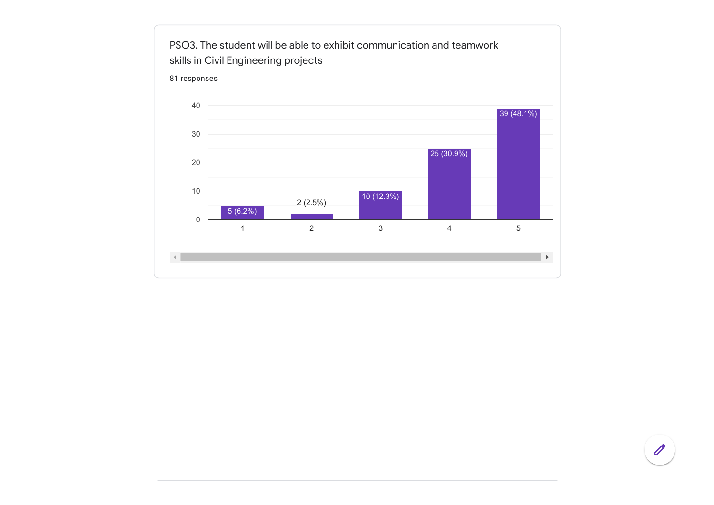

 $\mathscr{D}$